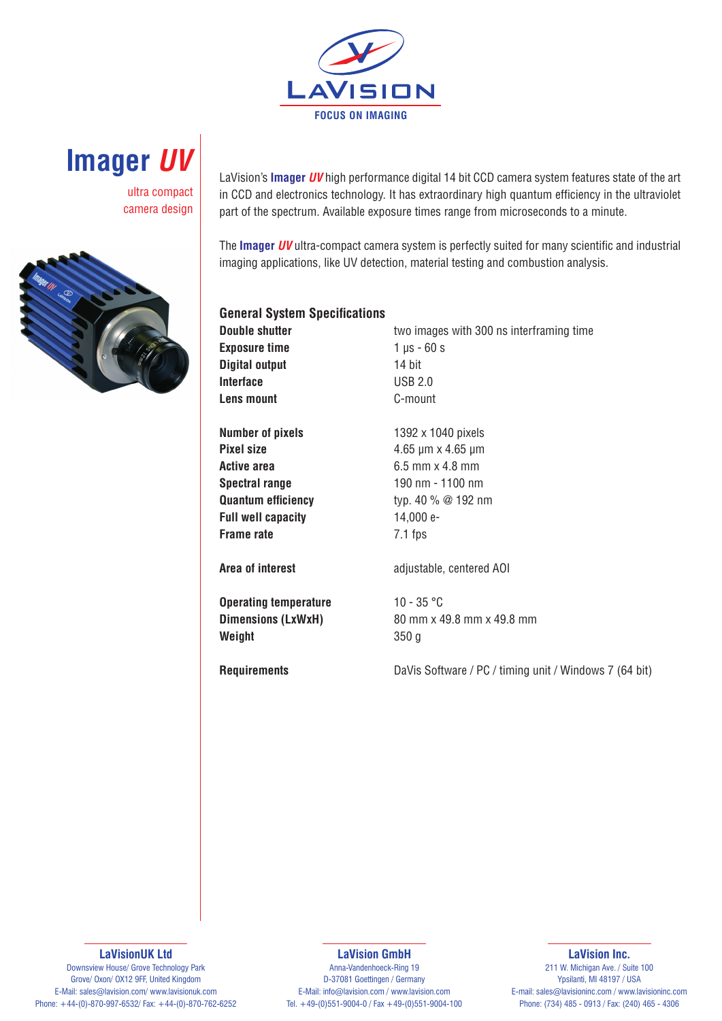



ultra compact camera design



LaVision's **Imager** *UV* high performance digital 14 bit CCD camera system features state of the art in CCD and electronics technology. It has extraordinary high quantum efficiency in the ultraviolet part of the spectrum. Available exposure times range from microseconds to a minute.

The **Imager** *UV* ultra-compact camera system is perfectly suited for many scientific and industrial imaging applications, like UV detection, material testing and combustion analysis.

| <b>General System Specifications</b> |                                                          |
|--------------------------------------|----------------------------------------------------------|
| <b>Double shutter</b>                | two images with 300 ns interframing time                 |
| <b>Exposure time</b>                 | $1 \mu s - 60 s$                                         |
| <b>Digital output</b>                | 14 bit                                                   |
| <b>Interface</b>                     | <b>USB 2.0</b>                                           |
| <b>Lens mount</b>                    | C-mount                                                  |
| <b>Number of pixels</b>              | 1392 x 1040 pixels                                       |
| <b>Pixel size</b>                    | $4.65 \,\mathrm{\upmu m} \times 4.65 \,\mathrm{\upmu m}$ |
| Active area                          | 6.5 mm x 4.8 mm                                          |
| <b>Spectral range</b>                | 190 nm - 1100 nm                                         |
| <b>Quantum efficiency</b>            | typ. 40 % @ 192 nm                                       |
| <b>Full well capacity</b>            | 14,000 e-                                                |
| <b>Frame rate</b>                    | $7.1$ fps                                                |
| Area of interest                     | adjustable, centered AOI                                 |
| <b>Operating temperature</b>         | $10 - 35 °C$                                             |
| Dimensions (LxWxH)                   | 80 mm x 49.8 mm x 49.8 mm                                |
| Weight                               | 350 <sub>g</sub>                                         |
| <b>Requirements</b>                  | DaVis Software / PC / timing unit / Windows 7 (64 bit)   |

### **LaVisionUK Ltd**

Downsview House/ Grove Technology Park Grove/ Oxon/ OX12 9FF, United Kingdom E-Mail: sales@lavision.com/ www.lavisionuk.com Phone: +44-(0)-870-997-6532/ Fax: +44-(0)-870-762-6252

#### **LaVision GmbH**

**LaVision Inc.**

Anna-Vandenhoeck-Ring 19 D-37081 Goettingen / Germany E-Mail: info@lavision.com / www.lavision.com Tel. +49-(0)551-9004-0 / Fax +49-(0)551-9004-100

211 W. Michigan Ave. / Suite 100 Ypsilanti, MI 48197 / USA E-mail: sales@lavisioninc.com / www.lavisioninc.com Phone: (734) 485 - 0913 / Fax: (240) 465 - 4306